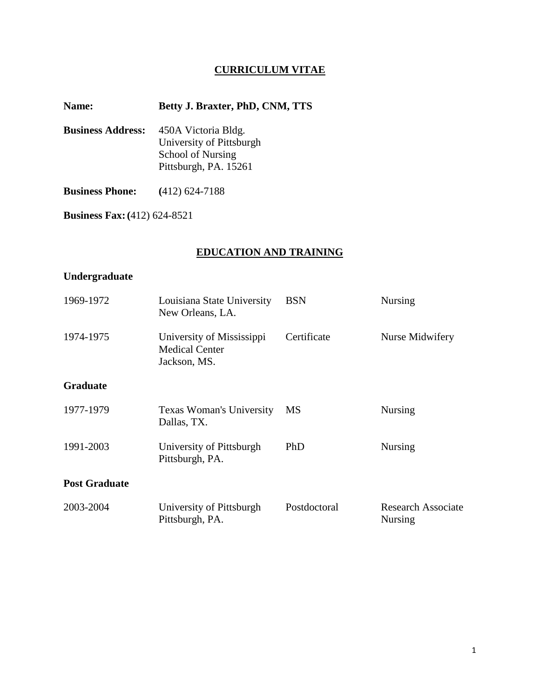# **CURRICULUM VITAE**

## **Name: Betty J. Braxter, PhD, CNM, TTS**

**Business Address:** 450A Victoria Bldg. University of Pittsburgh School of Nursing Pittsburgh, PA. 15261

**Business Phone: (**412) 624-7188

**Business Fax:(**412) 624-8521

## **EDUCATION AND TRAINING**

## **Undergraduate**

| 1969-1972            | Louisiana State University<br>New Orleans, LA.                     | <b>BSN</b>   | <b>Nursing</b>                              |  |
|----------------------|--------------------------------------------------------------------|--------------|---------------------------------------------|--|
| 1974-1975            | University of Mississippi<br><b>Medical Center</b><br>Jackson, MS. | Certificate  | Nurse Midwifery                             |  |
| <b>Graduate</b>      |                                                                    |              |                                             |  |
| 1977-1979            | Texas Woman's University<br>Dallas, TX.                            | MS           | <b>Nursing</b>                              |  |
| 1991-2003            | University of Pittsburgh<br>Pittsburgh, PA.                        | PhD          | <b>Nursing</b>                              |  |
| <b>Post Graduate</b> |                                                                    |              |                                             |  |
| 2003-2004            | University of Pittsburgh<br>Pittsburgh, PA.                        | Postdoctoral | <b>Research Associate</b><br><b>Nursing</b> |  |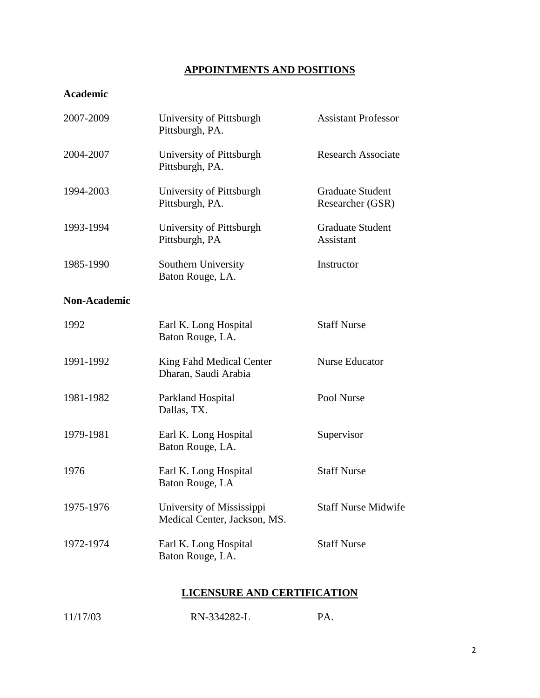# **APPOINTMENTS AND POSITIONS**

# **Academic**

| 2007-2009           | University of Pittsburgh<br>Pittsburgh, PA.               | <b>Assistant Professor</b>                  |
|---------------------|-----------------------------------------------------------|---------------------------------------------|
| 2004-2007           | University of Pittsburgh<br>Pittsburgh, PA.               | <b>Research Associate</b>                   |
| 1994-2003           | University of Pittsburgh<br>Pittsburgh, PA.               | <b>Graduate Student</b><br>Researcher (GSR) |
| 1993-1994           | University of Pittsburgh<br>Pittsburgh, PA                | <b>Graduate Student</b><br><b>Assistant</b> |
| 1985-1990           | Southern University<br>Baton Rouge, LA.                   | Instructor                                  |
| <b>Non-Academic</b> |                                                           |                                             |
| 1992                | Earl K. Long Hospital<br>Baton Rouge, LA.                 | <b>Staff Nurse</b>                          |
| 1991-1992           | King Fahd Medical Center<br>Dharan, Saudi Arabia          | Nurse Educator                              |
| 1981-1982           | Parkland Hospital<br>Dallas, TX.                          | Pool Nurse                                  |
| 1979-1981           | Earl K. Long Hospital<br>Baton Rouge, LA.                 | Supervisor                                  |
| 1976                | Earl K. Long Hospital<br>Baton Rouge, LA                  | <b>Staff Nurse</b>                          |
| 1975-1976           | University of Mississippi<br>Medical Center, Jackson, MS. | <b>Staff Nurse Midwife</b>                  |
| 1972-1974           | Earl K. Long Hospital<br>Baton Rouge, LA.                 | <b>Staff Nurse</b>                          |

# **LICENSURE AND CERTIFICATION**

| 11/17/03 | RN-334282-L |  |
|----------|-------------|--|
|          |             |  |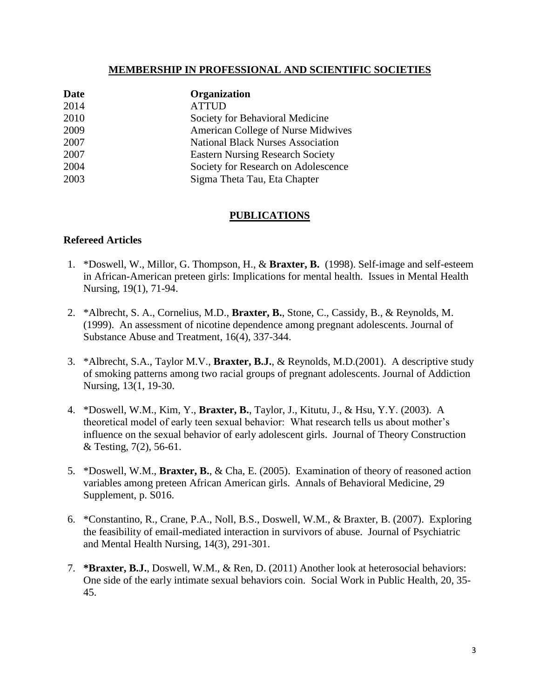## **MEMBERSHIP IN PROFESSIONAL AND SCIENTIFIC SOCIETIES**

| Date | Organization                             |
|------|------------------------------------------|
| 2014 | <b>ATTUD</b>                             |
| 2010 | Society for Behavioral Medicine          |
| 2009 | American College of Nurse Midwives       |
| 2007 | <b>National Black Nurses Association</b> |
| 2007 | <b>Eastern Nursing Research Society</b>  |
| 2004 | Society for Research on Adolescence      |
| 2003 | Sigma Theta Tau, Eta Chapter             |

## **PUBLICATIONS**

# **Refereed Articles**

- 1. \*Doswell, W., Millor, G. Thompson, H., & **Braxter, B.** (1998). Self-image and self-esteem in African-American preteen girls: Implications for mental health. Issues in Mental Health Nursing, 19(1), 71-94.
- 2. \*Albrecht, S. A., Cornelius, M.D., **Braxter, B.**, Stone, C., Cassidy, B., & Reynolds, M. (1999). An assessment of nicotine dependence among pregnant adolescents. Journal of Substance Abuse and Treatment, 16(4), 337-344.
- 3. \*Albrecht, S.A., Taylor M.V., **Braxter, B.J.**, & Reynolds, M.D.(2001). A descriptive study of smoking patterns among two racial groups of pregnant adolescents. Journal of Addiction Nursing, 13(1, 19-30.
- 4. \*Doswell, W.M., Kim, Y., **Braxter, B.**, Taylor, J., Kitutu, J., & Hsu, Y.Y. (2003). A theoretical model of early teen sexual behavior: What research tells us about mother's influence on the sexual behavior of early adolescent girls. Journal of Theory Construction & Testing, 7(2), 56-61.
- 5. \*Doswell, W.M., **Braxter, B.**, & Cha, E. (2005). Examination of theory of reasoned action variables among preteen African American girls. Annals of Behavioral Medicine, 29 Supplement, p. S016.
- 6. \*Constantino, R., Crane, P.A., Noll, B.S., Doswell, W.M., & Braxter, B. (2007). Exploring the feasibility of email-mediated interaction in survivors of abuse. Journal of Psychiatric and Mental Health Nursing, 14(3), 291-301.
- 7. **\*Braxter, B.J.**, Doswell, W.M., & Ren, D. (2011) Another look at heterosocial behaviors: One side of the early intimate sexual behaviors coin. Social Work in Public Health, 20, 35- 45.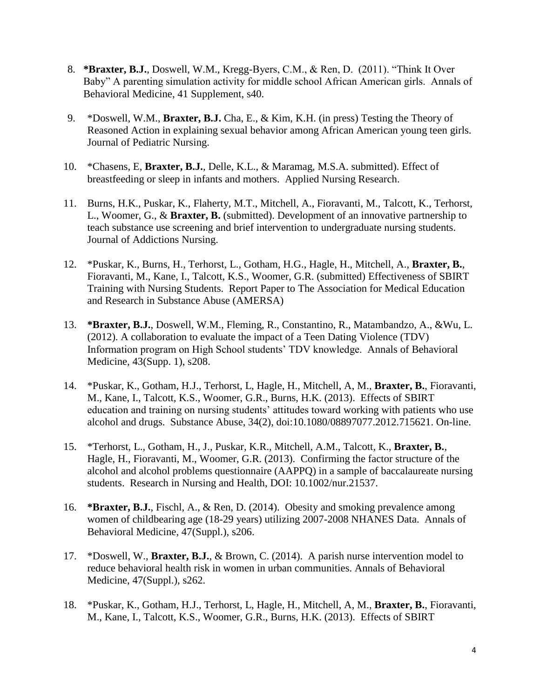- 8. **\*Braxter, B.J.**, Doswell, W.M., Kregg-Byers, C.M., & Ren, D. (2011). "Think It Over Baby" A parenting simulation activity for middle school African American girls. Annals of Behavioral Medicine, 41 Supplement, s40.
- 9. \*Doswell, W.M., **Braxter, B.J.** Cha, E., & Kim, K.H. (in press) Testing the Theory of Reasoned Action in explaining sexual behavior among African American young teen girls. Journal of Pediatric Nursing.
- 10. \*Chasens, E, **Braxter, B.J.**, Delle, K.L., & Maramag, M.S.A. submitted). Effect of breastfeeding or sleep in infants and mothers. Applied Nursing Research.
- 11. Burns, H.K., Puskar, K., Flaherty, M.T., Mitchell, A., Fioravanti, M., Talcott, K., Terhorst, L., Woomer, G., & **Braxter, B.** (submitted). Development of an innovative partnership to teach substance use screening and brief intervention to undergraduate nursing students. Journal of Addictions Nursing.
- 12. \*Puskar, K., Burns, H., Terhorst, L., Gotham, H.G., Hagle, H., Mitchell, A., **Braxter, B.**, Fioravanti, M., Kane, I., Talcott, K.S., Woomer, G.R. (submitted) Effectiveness of SBIRT Training with Nursing Students. Report Paper to The Association for Medical Education and Research in Substance Abuse (AMERSA)
- 13. **\*Braxter, B.J.**, Doswell, W.M., Fleming, R., Constantino, R., Matambandzo, A., &Wu, L. (2012). A collaboration to evaluate the impact of a Teen Dating Violence (TDV) Information program on High School students' TDV knowledge. Annals of Behavioral Medicine, 43(Supp. 1), s208.
- 14. \*Puskar, K., Gotham, H.J., Terhorst, L, Hagle, H., Mitchell, A, M., **Braxter, B.**, Fioravanti, M., Kane, I., Talcott, K.S., Woomer, G.R., Burns, H.K. (2013). Effects of SBIRT education and training on nursing students' attitudes toward working with patients who use alcohol and drugs. Substance Abuse, 34(2), doi:10.1080/08897077.2012.715621. On-line.
- 15. \*Terhorst, L., Gotham, H., J., Puskar, K.R., Mitchell, A.M., Talcott, K., **Braxter, B.**, Hagle, H., Fioravanti, M., Woomer, G.R. (2013). Confirming the factor structure of the alcohol and alcohol problems questionnaire (AAPPQ) in a sample of baccalaureate nursing students. Research in Nursing and Health, DOI: 10.1002/nur.21537.
- 16. **\*Braxter, B.J.**, Fischl, A., & Ren, D. (2014). Obesity and smoking prevalence among women of childbearing age (18-29 years) utilizing 2007-2008 NHANES Data. Annals of Behavioral Medicine, 47(Suppl.), s206.
- 17. \*Doswell, W., **Braxter, B.J.**, & Brown, C. (2014). A parish nurse intervention model to reduce behavioral health risk in women in urban communities. Annals of Behavioral Medicine, 47(Suppl.), s262.
- 18. \*Puskar, K., Gotham, H.J., Terhorst, L, Hagle, H., Mitchell, A, M., **Braxter, B.**, Fioravanti, M., Kane, I., Talcott, K.S., Woomer, G.R., Burns, H.K. (2013). Effects of SBIRT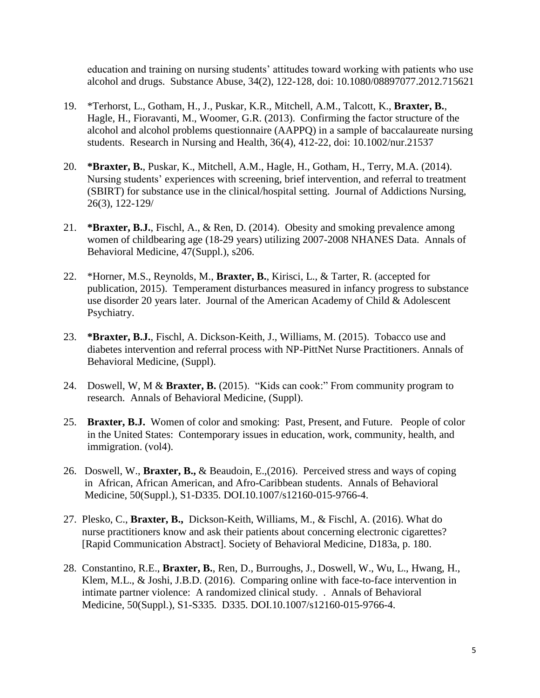education and training on nursing students' attitudes toward working with patients who use alcohol and drugs. Substance Abuse, 34(2), 122-128, doi: 10.1080/08897077.2012.715621

- 19. \*Terhorst, L., Gotham, H., J., Puskar, K.R., Mitchell, A.M., Talcott, K., **Braxter, B.**, Hagle, H., Fioravanti, M., Woomer, G.R. (2013). Confirming the factor structure of the alcohol and alcohol problems questionnaire (AAPPQ) in a sample of baccalaureate nursing students. Research in Nursing and Health, 36(4), 412-22, doi: 10.1002/nur.21537
- 20. **\*Braxter, B.**, Puskar, K., Mitchell, A.M., Hagle, H., Gotham, H., Terry, M.A. (2014). Nursing students' experiences with screening, brief intervention, and referral to treatment (SBIRT) for substance use in the clinical/hospital setting. Journal of Addictions Nursing, 26(3), 122-129/
- 21. **\*Braxter, B.J.**, Fischl, A., & Ren, D. (2014). Obesity and smoking prevalence among women of childbearing age (18-29 years) utilizing 2007-2008 NHANES Data. Annals of Behavioral Medicine, 47(Suppl.), s206.
- 22. \*Horner, M.S., Reynolds, M., **Braxter, B.**, Kirisci, L., & Tarter, R. (accepted for publication, 2015). Temperament disturbances measured in infancy progress to substance use disorder 20 years later. Journal of the American Academy of Child & Adolescent Psychiatry.
- 23. **\*Braxter, B.J.**, Fischl, A. Dickson-Keith, J., Williams, M. (2015). Tobacco use and diabetes intervention and referral process with NP-PittNet Nurse Practitioners. Annals of Behavioral Medicine, (Suppl).
- 24. Doswell, W, M & **Braxter, B.** (2015). "Kids can cook:" From community program to research. Annals of Behavioral Medicine, (Suppl).
- 25. **Braxter, B.J.** Women of color and smoking: Past, Present, and Future. People of color in the United States: Contemporary issues in education, work, community, health, and immigration. (vol4).
- 26. Doswell, W., **Braxter, B.,** & Beaudoin, E.,(2016). Perceived stress and ways of coping in African, African American, and Afro-Caribbean students. Annals of Behavioral Medicine, 50(Suppl.), S1-D335. DOI.10.1007/s12160-015-9766-4.
- 27. Plesko, C., **Braxter, B.,** Dickson-Keith, Williams, M., & Fischl, A. (2016). What do nurse practitioners know and ask their patients about concerning electronic cigarettes? [Rapid Communication Abstract]. Society of Behavioral Medicine, D183a, p. 180.
- 28. Constantino, R.E., **Braxter, B.**, Ren, D., Burroughs, J., Doswell, W., Wu, L., Hwang, H., Klem, M.L., & Joshi, J.B.D. (2016). Comparing online with face-to-face intervention in intimate partner violence: A randomized clinical study. . Annals of Behavioral Medicine, 50(Suppl.), S1-S335. D335. DOI.10.1007/s12160-015-9766-4.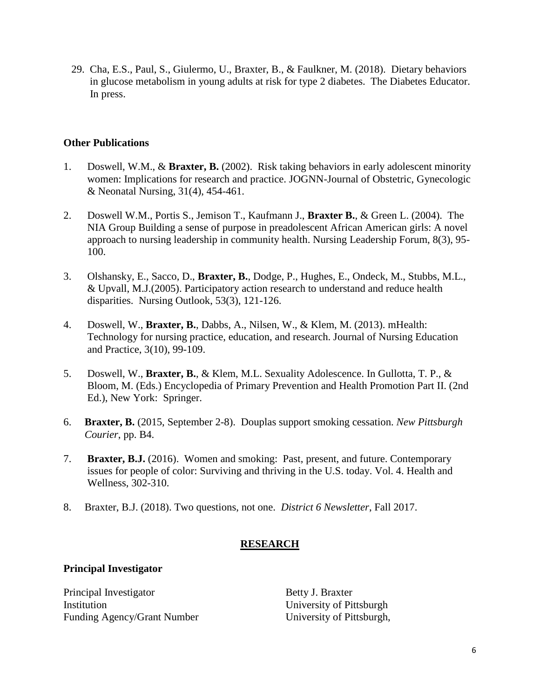29. Cha, E.S., Paul, S., Giulermo, U., Braxter, B., & Faulkner, M. (2018). Dietary behaviors in glucose metabolism in young adults at risk for type 2 diabetes. The Diabetes Educator. In press.

## **Other Publications**

- 1. Doswell, W.M., & **Braxter, B.** (2002). Risk taking behaviors in early adolescent minority women: Implications for research and practice. JOGNN-Journal of Obstetric, Gynecologic & Neonatal Nursing, 31(4), 454-461.
- 2. Doswell W.M., Portis S., Jemison T., Kaufmann J., **Braxter B.**, & Green L. (2004). The NIA Group Building a sense of purpose in preadolescent African American girls: A novel approach to nursing leadership in community health. Nursing Leadership Forum, 8(3), 95- 100.
- 3. Olshansky, E., Sacco, D., **Braxter, B.**, Dodge, P., Hughes, E., Ondeck, M., Stubbs, M.L., & Upvall, M.J.(2005). Participatory action research to understand and reduce health disparities. Nursing Outlook, 53(3), 121-126.
- 4. Doswell, W., **Braxter, B.**, Dabbs, A., Nilsen, W., & Klem, M. (2013). mHealth: Technology for nursing practice, education, and research. Journal of Nursing Education and Practice, 3(10), 99-109.
- 5. Doswell, W., **Braxter, B.**, & Klem, M.L. Sexuality Adolescence. In Gullotta, T. P., & Bloom, M. (Eds.) Encyclopedia of Primary Prevention and Health Promotion Part II. (2nd Ed.), New York: Springer.
- 6. **Braxter, B.** (2015, September 2-8). Douplas support smoking cessation. *New Pittsburgh Courier*, pp. B4.
- 7. **Braxter, B.J.** (2016). Women and smoking: Past, present, and future. Contemporary issues for people of color: Surviving and thriving in the U.S. today. Vol. 4. Health and Wellness, 302-310.
- 8. Braxter, B.J. (2018). Two questions, not one. *District 6 Newsletter*, Fall 2017.

# **RESEARCH**

## **Principal Investigator**

Principal Investigator Betty J. Braxter Institution University of Pittsburgh Funding Agency/Grant Number University of Pittsburgh,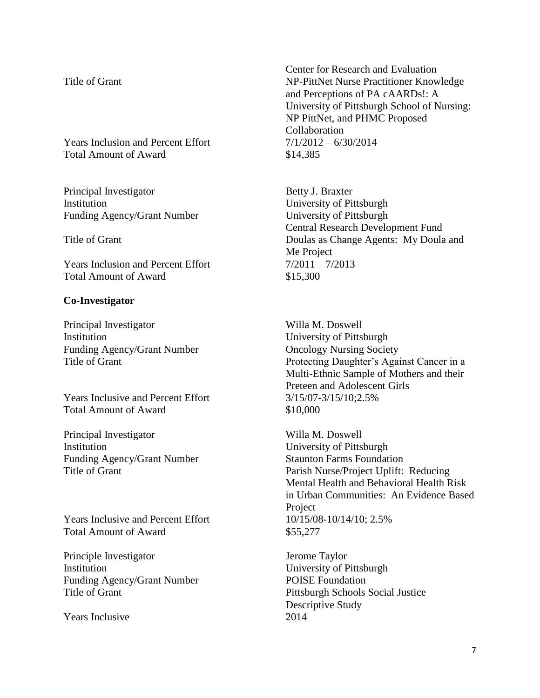Years Inclusion and Percent Effort  $7/1/2012 - 6/30/2014$ Total Amount of Award \$14,385

Principal Investigator Betty J. Braxter Institution University of Pittsburgh Funding Agency/Grant Number University of Pittsburgh

Years Inclusion and Percent Effort  $7/2011 - 7/2013$ Total Amount of Award \$15,300

#### **Co-Investigator**

Principal Investigator Willa M. Doswell Institution University of Pittsburgh Funding Agency/Grant Number **Oncology Nursing Society** 

Years Inclusive and Percent Effort 3/15/07-3/15/10:2.5% Total Amount of Award \$10,000

Principal Investigator Willa M. Doswell Institution University of Pittsburgh Funding Agency/Grant Number Staunton Farms Foundation

Years Inclusive and Percent Effort 10/15/08-10/14/10; 2.5% Total Amount of Award \$55,277

Principle Investigator **IERC INCRES** Jerome Taylor Institution University of Pittsburgh Funding Agency/Grant Number POISE Foundation

Years Inclusive 2014

Center for Research and Evaluation Title of Grant NP-PittNet Nurse Practitioner Knowledge and Perceptions of PA cAARDs!: A University of Pittsburgh School of Nursing: NP PittNet, and PHMC Proposed Collaboration

Central Research Development Fund Title of Grant Doulas as Change Agents: My Doula and Me Project

Title of Grant Protecting Daughter's Against Cancer in a Multi-Ethnic Sample of Mothers and their Preteen and Adolescent Girls

Title of Grant Parish Nurse/Project Uplift: Reducing Mental Health and Behavioral Health Risk in Urban Communities: An Evidence Based Project

Title of Grant Pittsburgh Schools Social Justice Descriptive Study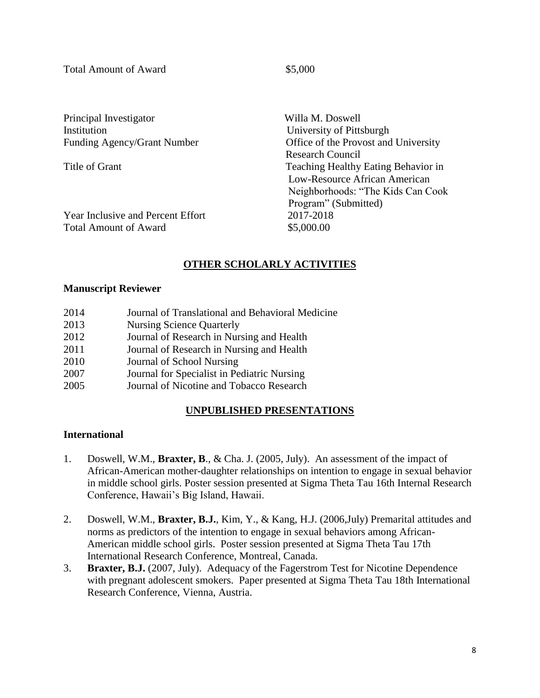Total Amount of Award  $$5,000$ 

Principal Investigator Willa M. Doswell Institution University of Pittsburgh

Funding Agency/Grant Number Office of the Provost and University Research Council Title of Grant Teaching Healthy Eating Behavior in Low-Resource African American Neighborhoods: "The Kids Can Cook Program" (Submitted)

Year Inclusive and Percent Effort 2017-2018 Total Amount of Award  $$5,000.00$ 

# **OTHER SCHOLARLY ACTIVITIES**

## **Manuscript Reviewer**

| 2014 | Journal of Translational and Behavioral Medicine |
|------|--------------------------------------------------|
| 2013 | <b>Nursing Science Quarterly</b>                 |
| 2012 | Journal of Research in Nursing and Health        |
| 2011 | Journal of Research in Nursing and Health        |
| 2010 | Journal of School Nursing                        |
| 2007 | Journal for Specialist in Pediatric Nursing      |
| 2005 | Journal of Nicotine and Tobacco Research         |

# **UNPUBLISHED PRESENTATIONS**

# **International**

- 1. Doswell, W.M., **Braxter, B**., & Cha. J. (2005, July). An assessment of the impact of African-American mother-daughter relationships on intention to engage in sexual behavior in middle school girls. Poster session presented at Sigma Theta Tau 16th Internal Research Conference, Hawaii's Big Island, Hawaii.
- 2. Doswell, W.M., **Braxter, B.J.**, Kim, Y., & Kang, H.J. (2006,July) Premarital attitudes and norms as predictors of the intention to engage in sexual behaviors among African-American middle school girls. Poster session presented at Sigma Theta Tau 17th International Research Conference, Montreal, Canada.
- 3. **Braxter, B.J.** (2007, July). Adequacy of the Fagerstrom Test for Nicotine Dependence with pregnant adolescent smokers. Paper presented at Sigma Theta Tau 18th International Research Conference, Vienna, Austria.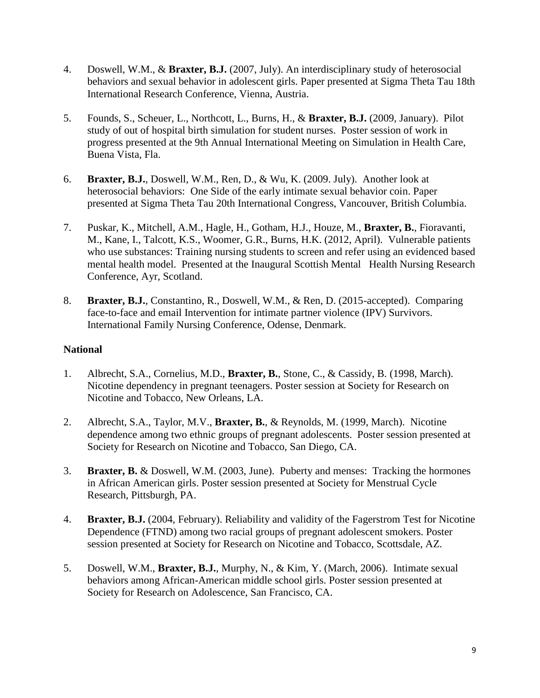- 4. Doswell, W.M., & **Braxter, B.J.** (2007, July). An interdisciplinary study of heterosocial behaviors and sexual behavior in adolescent girls. Paper presented at Sigma Theta Tau 18th International Research Conference, Vienna, Austria.
- 5. Founds, S., Scheuer, L., Northcott, L., Burns, H., & **Braxter, B.J.** (2009, January). Pilot study of out of hospital birth simulation for student nurses. Poster session of work in progress presented at the 9th Annual International Meeting on Simulation in Health Care, Buena Vista, Fla.
- 6. **Braxter, B.J.**, Doswell, W.M., Ren, D., & Wu, K. (2009. July). Another look at heterosocial behaviors: One Side of the early intimate sexual behavior coin. Paper presented at Sigma Theta Tau 20th International Congress, Vancouver, British Columbia.
- 7. Puskar, K., Mitchell, A.M., Hagle, H., Gotham, H.J., Houze, M., **Braxter, B.**, Fioravanti, M., Kane, I., Talcott, K.S., Woomer, G.R., Burns, H.K. (2012, April). Vulnerable patients who use substances: Training nursing students to screen and refer using an evidenced based mental health model. Presented at the Inaugural Scottish Mental Health Nursing Research Conference, Ayr, Scotland.
- 8. **Braxter, B.J.**, Constantino, R., Doswell, W.M., & Ren, D. (2015-accepted). Comparing face-to-face and email Intervention for intimate partner violence (IPV) Survivors. International Family Nursing Conference, Odense, Denmark.

# **National**

- 1. Albrecht, S.A., Cornelius, M.D., **Braxter, B.**, Stone, C., & Cassidy, B. (1998, March). Nicotine dependency in pregnant teenagers. Poster session at Society for Research on Nicotine and Tobacco, New Orleans, LA.
- 2. Albrecht, S.A., Taylor, M.V., **Braxter, B.**, & Reynolds, M. (1999, March). Nicotine dependence among two ethnic groups of pregnant adolescents. Poster session presented at Society for Research on Nicotine and Tobacco, San Diego, CA.
- 3. **Braxter, B.** & Doswell, W.M. (2003, June). Puberty and menses: Tracking the hormones in African American girls. Poster session presented at Society for Menstrual Cycle Research, Pittsburgh, PA.
- 4. **Braxter, B.J.** (2004, February). Reliability and validity of the Fagerstrom Test for Nicotine Dependence (FTND) among two racial groups of pregnant adolescent smokers. Poster session presented at Society for Research on Nicotine and Tobacco, Scottsdale, AZ.
- 5. Doswell, W.M., **Braxter, B.J.**, Murphy, N., & Kim, Y. (March, 2006). Intimate sexual behaviors among African-American middle school girls. Poster session presented at Society for Research on Adolescence, San Francisco, CA.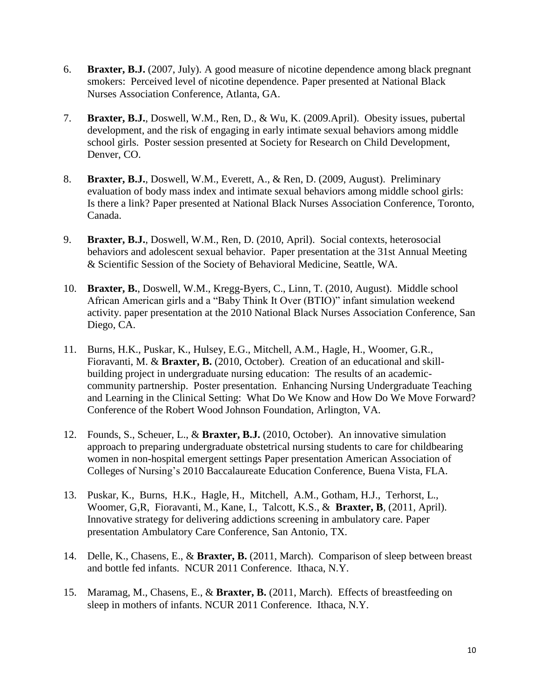- 6. **Braxter, B.J.** (2007, July). A good measure of nicotine dependence among black pregnant smokers: Perceived level of nicotine dependence. Paper presented at National Black Nurses Association Conference, Atlanta, GA.
- 7. **Braxter, B.J.**, Doswell, W.M., Ren, D., & Wu, K. (2009.April). Obesity issues, pubertal development, and the risk of engaging in early intimate sexual behaviors among middle school girls. Poster session presented at Society for Research on Child Development, Denver, CO.
- 8. **Braxter, B.J.**, Doswell, W.M., Everett, A., & Ren, D. (2009, August). Preliminary evaluation of body mass index and intimate sexual behaviors among middle school girls: Is there a link? Paper presented at National Black Nurses Association Conference, Toronto, Canada.
- 9. **Braxter, B.J.**, Doswell, W.M., Ren, D. (2010, April). Social contexts, heterosocial behaviors and adolescent sexual behavior. Paper presentation at the 31st Annual Meeting & Scientific Session of the Society of Behavioral Medicine, Seattle, WA.
- 10. **Braxter, B.**, Doswell, W.M., Kregg-Byers, C., Linn, T. (2010, August). Middle school African American girls and a "Baby Think It Over (BTIO)" infant simulation weekend activity. paper presentation at the 2010 National Black Nurses Association Conference, San Diego, CA.
- 11. Burns, H.K., Puskar, K., Hulsey, E.G., Mitchell, A.M., Hagle, H., Woomer, G.R., Fioravanti, M. & **Braxter, B.** (2010, October). Creation of an educational and skillbuilding project in undergraduate nursing education: The results of an academiccommunity partnership. Poster presentation. Enhancing Nursing Undergraduate Teaching and Learning in the Clinical Setting: What Do We Know and How Do We Move Forward? Conference of the Robert Wood Johnson Foundation, Arlington, VA.
- 12. Founds, S., Scheuer, L., & **Braxter, B.J.** (2010, October). An innovative simulation approach to preparing undergraduate obstetrical nursing students to care for childbearing women in non-hospital emergent settings Paper presentation American Association of Colleges of Nursing's 2010 Baccalaureate Education Conference, Buena Vista, FLA.
- 13. Puskar, K., Burns, H.K., Hagle, H., Mitchell, A.M., Gotham, H.J., Terhorst, L., Woomer, G,R, Fioravanti, M., Kane, I., Talcott, K.S., & **Braxter, B**, (2011, April). Innovative strategy for delivering addictions screening in ambulatory care. Paper presentation Ambulatory Care Conference, San Antonio, TX.
- 14. Delle, K., Chasens, E., & **Braxter, B.** (2011, March). Comparison of sleep between breast and bottle fed infants. NCUR 2011 Conference. Ithaca, N.Y.
- 15. Maramag, M., Chasens, E., & **Braxter, B.** (2011, March). Effects of breastfeeding on sleep in mothers of infants. NCUR 2011 Conference. Ithaca, N.Y.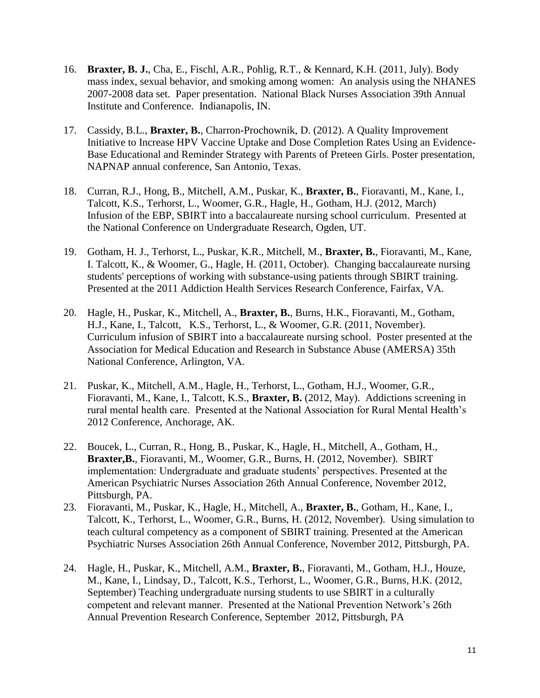- 16. **Braxter, B. J.**, Cha, E., Fischl, A.R., Pohlig, R.T., & Kennard, K.H. (2011, July). Body mass index, sexual behavior, and smoking among women: An analysis using the NHANES 2007-2008 data set. Paper presentation. National Black Nurses Association 39th Annual Institute and Conference. Indianapolis, IN.
- 17. Cassidy, B.L., **Braxter, B.**, Charron-Prochownik, D. (2012). A Quality Improvement Initiative to Increase HPV Vaccine Uptake and Dose Completion Rates Using an Evidence-Base Educational and Reminder Strategy with Parents of Preteen Girls. Poster presentation, NAPNAP annual conference, San Antonio, Texas.
- 18. Curran, R.J., Hong, B., Mitchell, A.M., Puskar, K., **Braxter, B.**, Fioravanti, M., Kane, I., Talcott, K.S., Terhorst, L., Woomer, G.R., Hagle, H., Gotham, H.J. (2012, March) Infusion of the EBP, SBIRT into a baccalaureate nursing school curriculum. Presented at the National Conference on Undergraduate Research, Ogden, UT.
- 19. Gotham, H. J., Terhorst, L., Puskar, K.R., Mitchell, M., **Braxter, B.**, Fioravanti, M., Kane, I. Talcott, K., & Woomer, G., Hagle, H. (2011, October). Changing baccalaureate nursing students' perceptions of working with substance-using patients through SBIRT training. Presented at the 2011 Addiction Health Services Research Conference, Fairfax, VA.
- 20. Hagle, H., Puskar, K., Mitchell, A., **Braxter, B.**, Burns, H.K., Fioravanti, M., Gotham, H.J., Kane, I., Talcott, K.S., Terhorst, L., & Woomer, G.R. (2011, November). Curriculum infusion of SBIRT into a baccalaureate nursing school. Poster presented at the Association for Medical Education and Research in Substance Abuse (AMERSA) 35th National Conference, Arlington, VA.
- 21. Puskar, K., Mitchell, A.M., Hagle, H., Terhorst, L., Gotham, H.J., Woomer, G.R., Fioravanti, M., Kane, I., Talcott, K.S., **Braxter, B.** (2012, May). Addictions screening in rural mental health care. Presented at the National Association for Rural Mental Health's 2012 Conference, Anchorage, AK.
- 22. Boucek, L., Curran, R., Hong, B., Puskar, K., Hagle, H., Mitchell, A., Gotham, H., **Braxter,B.**, Fioravanti, M., Woomer, G.R., Burns, H. (2012, November). SBIRT implementation: Undergraduate and graduate students' perspectives. Presented at the American Psychiatric Nurses Association 26th Annual Conference, November 2012, Pittsburgh, PA.
- 23. Fioravanti, M., Puskar, K., Hagle, H., Mitchell, A., **Braxter, B.**, Gotham, H., Kane, I., Talcott, K., Terhorst, L., Woomer, G.R., Burns, H. (2012, November). Using simulation to teach cultural competency as a component of SBIRT training. Presented at the American Psychiatric Nurses Association 26th Annual Conference, November 2012, Pittsburgh, PA.
- 24. Hagle, H., Puskar, K., Mitchell, A.M., **Braxter, B.**, Fioravanti, M., Gotham, H.J., Houze, M., Kane, I., Lindsay, D., Talcott, K.S., Terhorst, L., Woomer, G.R., Burns, H.K. (2012, September) Teaching undergraduate nursing students to use SBIRT in a culturally competent and relevant manner. Presented at the National Prevention Network's 26th Annual Prevention Research Conference, September 2012, Pittsburgh, PA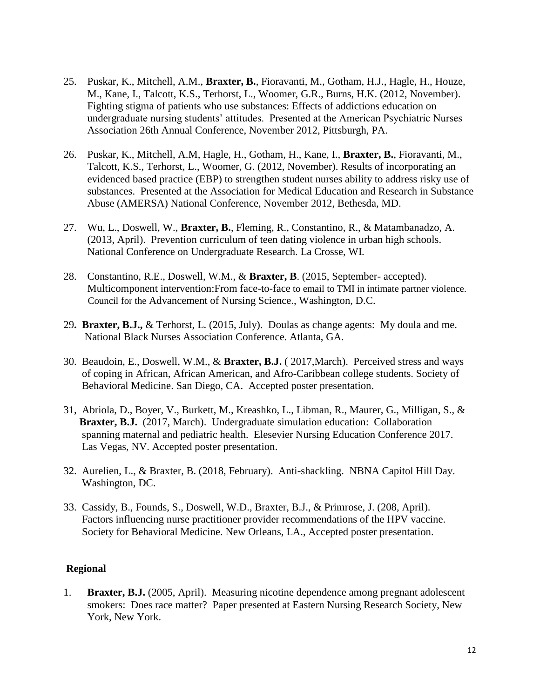- 25. Puskar, K., Mitchell, A.M., **Braxter, B.**, Fioravanti, M., Gotham, H.J., Hagle, H., Houze, M., Kane, I., Talcott, K.S., Terhorst, L., Woomer, G.R., Burns, H.K. (2012, November). Fighting stigma of patients who use substances: Effects of addictions education on undergraduate nursing students' attitudes. Presented at the American Psychiatric Nurses Association 26th Annual Conference, November 2012, Pittsburgh, PA.
- 26. Puskar, K., Mitchell, A.M, Hagle, H., Gotham, H., Kane, I., **Braxter, B.**, Fioravanti, M., Talcott, K.S., Terhorst, L., Woomer, G. (2012, November). Results of incorporating an evidenced based practice (EBP) to strengthen student nurses ability to address risky use of substances. Presented at the Association for Medical Education and Research in Substance Abuse (AMERSA) National Conference, November 2012, Bethesda, MD.
- 27. Wu, L., Doswell, W., **Braxter, B.**, Fleming, R., Constantino, R., & Matambanadzo, A. (2013, April). Prevention curriculum of teen dating violence in urban high schools. National Conference on Undergraduate Research. La Crosse, WI.
- 28. Constantino, R.E., Doswell, W.M., & **Braxter, B**. (2015, September- accepted). Multicomponent intervention:From face-to-face to email to TMI in intimate partner violence. Council for the Advancement of Nursing Science., Washington, D.C.
- 29**. Braxter, B.J.,** & Terhorst, L. (2015, July). Doulas as change agents: My doula and me. National Black Nurses Association Conference. Atlanta, GA.
- 30. Beaudoin, E., Doswell, W.M., & **Braxter, B.J.** ( 2017,March). Perceived stress and ways of coping in African, African American, and Afro-Caribbean college students. Society of Behavioral Medicine. San Diego, CA. Accepted poster presentation.
- 31, Abriola, D., Boyer, V., Burkett, M., Kreashko, L., Libman, R., Maurer, G., Milligan, S., & **Braxter, B.J.** (2017, March). Undergraduate simulation education: Collaboration spanning maternal and pediatric health. Elesevier Nursing Education Conference 2017. Las Vegas, NV. Accepted poster presentation.
- 32. Aurelien, L., & Braxter, B. (2018, February). Anti-shackling. NBNA Capitol Hill Day. Washington, DC.
- 33. Cassidy, B., Founds, S., Doswell, W.D., Braxter, B.J., & Primrose, J. (208, April). Factors influencing nurse practitioner provider recommendations of the HPV vaccine. Society for Behavioral Medicine. New Orleans, LA., Accepted poster presentation.

## **Regional**

1. **Braxter, B.J.** (2005, April). Measuring nicotine dependence among pregnant adolescent smokers: Does race matter? Paper presented at Eastern Nursing Research Society, New York, New York.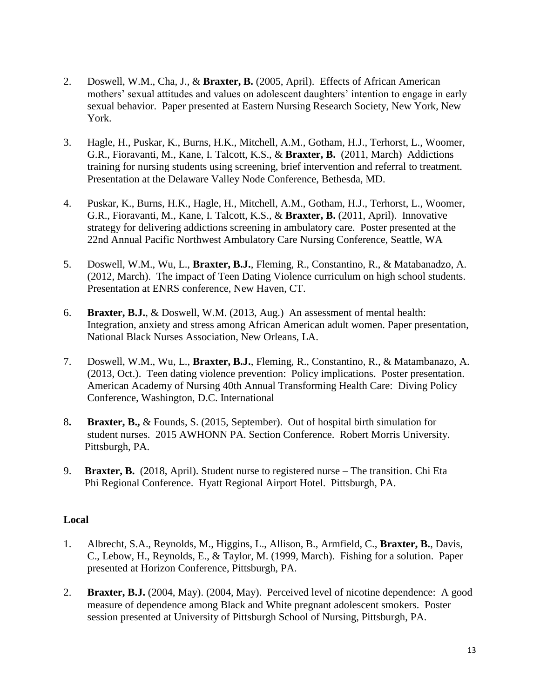- 2. Doswell, W.M., Cha, J., & **Braxter, B.** (2005, April). Effects of African American mothers' sexual attitudes and values on adolescent daughters' intention to engage in early sexual behavior. Paper presented at Eastern Nursing Research Society, New York, New York.
- 3. Hagle, H., Puskar, K., Burns, H.K., Mitchell, A.M., Gotham, H.J., Terhorst, L., Woomer, G.R., Fioravanti, M., Kane, I. Talcott, K.S., & **Braxter, B.** (2011, March) Addictions training for nursing students using screening, brief intervention and referral to treatment. Presentation at the Delaware Valley Node Conference, Bethesda, MD.
- 4. Puskar, K., Burns, H.K., Hagle, H., Mitchell, A.M., Gotham, H.J., Terhorst, L., Woomer, G.R., Fioravanti, M., Kane, I. Talcott, K.S., & **Braxter, B.** (2011, April). Innovative strategy for delivering addictions screening in ambulatory care. Poster presented at the 22nd Annual Pacific Northwest Ambulatory Care Nursing Conference, Seattle, WA
- 5. Doswell, W.M., Wu, L., **Braxter, B.J.**, Fleming, R., Constantino, R., & Matabanadzo, A. (2012, March). The impact of Teen Dating Violence curriculum on high school students. Presentation at ENRS conference, New Haven, CT.
- 6. **Braxter, B.J.**, & Doswell, W.M. (2013, Aug.) An assessment of mental health: Integration, anxiety and stress among African American adult women. Paper presentation, National Black Nurses Association, New Orleans, LA.
- 7. Doswell, W.M., Wu, L., **Braxter, B.J.**, Fleming, R., Constantino, R., & Matambanazo, A. (2013, Oct.). Teen dating violence prevention: Policy implications. Poster presentation. American Academy of Nursing 40th Annual Transforming Health Care: Diving Policy Conference, Washington, D.C. International
- 8**. Braxter, B.,** & Founds, S. (2015, September). Out of hospital birth simulation for student nurses. 2015 AWHONN PA. Section Conference. Robert Morris University. Pittsburgh, PA.
- 9. **Braxter, B.** (2018, April). Student nurse to registered nurse The transition. Chi Eta Phi Regional Conference. Hyatt Regional Airport Hotel. Pittsburgh, PA.

# **Local**

- 1. Albrecht, S.A., Reynolds, M., Higgins, L., Allison, B., Armfield, C., **Braxter, B.**, Davis, C., Lebow, H., Reynolds, E., & Taylor, M. (1999, March). Fishing for a solution. Paper presented at Horizon Conference, Pittsburgh, PA.
- 2. **Braxter, B.J.** (2004, May). (2004, May). Perceived level of nicotine dependence: A good measure of dependence among Black and White pregnant adolescent smokers. Poster session presented at University of Pittsburgh School of Nursing, Pittsburgh, PA.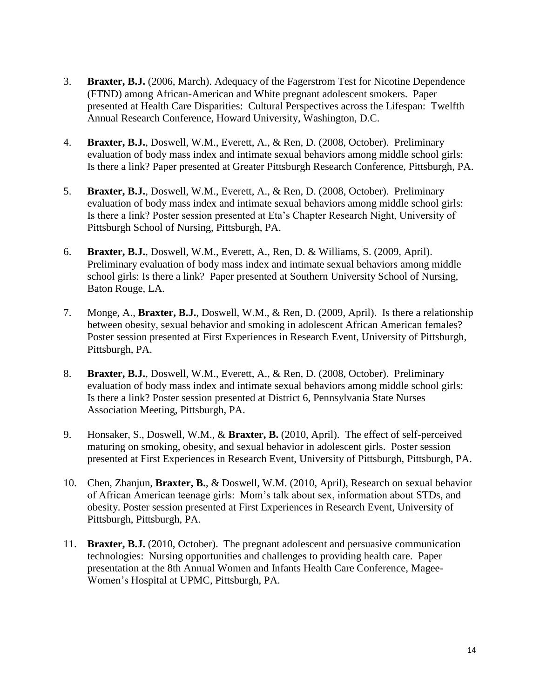- 3. **Braxter, B.J.** (2006, March). Adequacy of the Fagerstrom Test for Nicotine Dependence (FTND) among African-American and White pregnant adolescent smokers. Paper presented at Health Care Disparities: Cultural Perspectives across the Lifespan: Twelfth Annual Research Conference, Howard University, Washington, D.C.
- 4. **Braxter, B.J.**, Doswell, W.M., Everett, A., & Ren, D. (2008, October). Preliminary evaluation of body mass index and intimate sexual behaviors among middle school girls: Is there a link? Paper presented at Greater Pittsburgh Research Conference, Pittsburgh, PA.
- 5. **Braxter, B.J.**, Doswell, W.M., Everett, A., & Ren, D. (2008, October). Preliminary evaluation of body mass index and intimate sexual behaviors among middle school girls: Is there a link? Poster session presented at Eta's Chapter Research Night, University of Pittsburgh School of Nursing, Pittsburgh, PA.
- 6. **Braxter, B.J.**, Doswell, W.M., Everett, A., Ren, D. & Williams, S. (2009, April). Preliminary evaluation of body mass index and intimate sexual behaviors among middle school girls: Is there a link? Paper presented at Southern University School of Nursing, Baton Rouge, LA.
- 7. Monge, A., **Braxter, B.J.**, Doswell, W.M., & Ren, D. (2009, April). Is there a relationship between obesity, sexual behavior and smoking in adolescent African American females? Poster session presented at First Experiences in Research Event, University of Pittsburgh, Pittsburgh, PA.
- 8. **Braxter, B.J.**, Doswell, W.M., Everett, A., & Ren, D. (2008, October). Preliminary evaluation of body mass index and intimate sexual behaviors among middle school girls: Is there a link? Poster session presented at District 6, Pennsylvania State Nurses Association Meeting, Pittsburgh, PA.
- 9. Honsaker, S., Doswell, W.M., & **Braxter, B.** (2010, April). The effect of self-perceived maturing on smoking, obesity, and sexual behavior in adolescent girls. Poster session presented at First Experiences in Research Event, University of Pittsburgh, Pittsburgh, PA.
- 10. Chen, Zhanjun, **Braxter, B.**, & Doswell, W.M. (2010, April), Research on sexual behavior of African American teenage girls: Mom's talk about sex, information about STDs, and obesity. Poster session presented at First Experiences in Research Event, University of Pittsburgh, Pittsburgh, PA.
- 11. **Braxter, B.J.** (2010, October). The pregnant adolescent and persuasive communication technologies: Nursing opportunities and challenges to providing health care. Paper presentation at the 8th Annual Women and Infants Health Care Conference, Magee-Women's Hospital at UPMC, Pittsburgh, PA.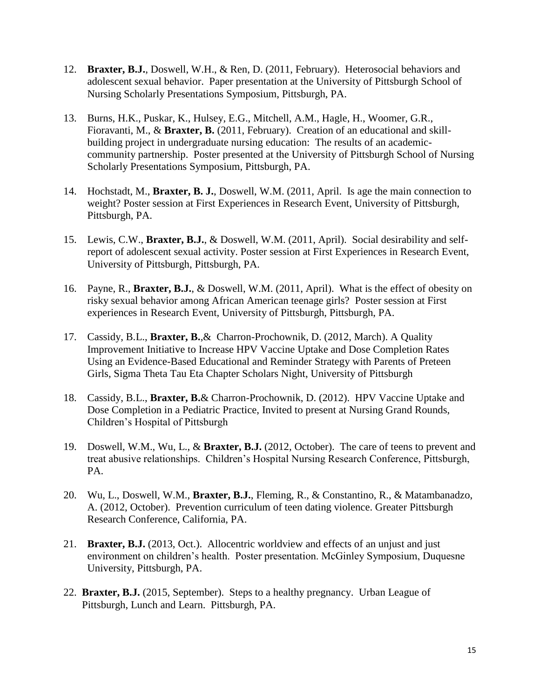- 12. **Braxter, B.J.**, Doswell, W.H., & Ren, D. (2011, February). Heterosocial behaviors and adolescent sexual behavior. Paper presentation at the University of Pittsburgh School of Nursing Scholarly Presentations Symposium, Pittsburgh, PA.
- 13. Burns, H.K., Puskar, K., Hulsey, E.G., Mitchell, A.M., Hagle, H., Woomer, G.R., Fioravanti, M., & **Braxter, B.** (2011, February). Creation of an educational and skillbuilding project in undergraduate nursing education: The results of an academiccommunity partnership. Poster presented at the University of Pittsburgh School of Nursing Scholarly Presentations Symposium, Pittsburgh, PA.
- 14. Hochstadt, M., **Braxter, B. J.**, Doswell, W.M. (2011, April. Is age the main connection to weight? Poster session at First Experiences in Research Event, University of Pittsburgh, Pittsburgh, PA.
- 15. Lewis, C.W., **Braxter, B.J.**, & Doswell, W.M. (2011, April). Social desirability and selfreport of adolescent sexual activity. Poster session at First Experiences in Research Event, University of Pittsburgh, Pittsburgh, PA.
- 16. Payne, R., **Braxter, B.J.**, & Doswell, W.M. (2011, April). What is the effect of obesity on risky sexual behavior among African American teenage girls? Poster session at First experiences in Research Event, University of Pittsburgh, Pittsburgh, PA.
- 17. Cassidy, B.L., **Braxter, B.**,& Charron-Prochownik, D. (2012, March). A Quality Improvement Initiative to Increase HPV Vaccine Uptake and Dose Completion Rates Using an Evidence-Based Educational and Reminder Strategy with Parents of Preteen Girls, Sigma Theta Tau Eta Chapter Scholars Night, University of Pittsburgh
- 18. Cassidy, B.L., **Braxter, B.**& Charron-Prochownik, D. (2012). HPV Vaccine Uptake and Dose Completion in a Pediatric Practice, Invited to present at Nursing Grand Rounds, Children's Hospital of Pittsburgh
- 19. Doswell, W.M., Wu, L., & **Braxter, B.J.** (2012, October). The care of teens to prevent and treat abusive relationships. Children's Hospital Nursing Research Conference, Pittsburgh, PA.
- 20. Wu, L., Doswell, W.M., **Braxter, B.J.**, Fleming, R., & Constantino, R., & Matambanadzo, A. (2012, October). Prevention curriculum of teen dating violence. Greater Pittsburgh Research Conference, California, PA.
- 21. **Braxter, B.J.** (2013, Oct.). Allocentric worldview and effects of an unjust and just environment on children's health. Poster presentation. McGinley Symposium, Duquesne University, Pittsburgh, PA.
- 22. **Braxter, B.J.** (2015, September). Steps to a healthy pregnancy. Urban League of Pittsburgh, Lunch and Learn. Pittsburgh, PA.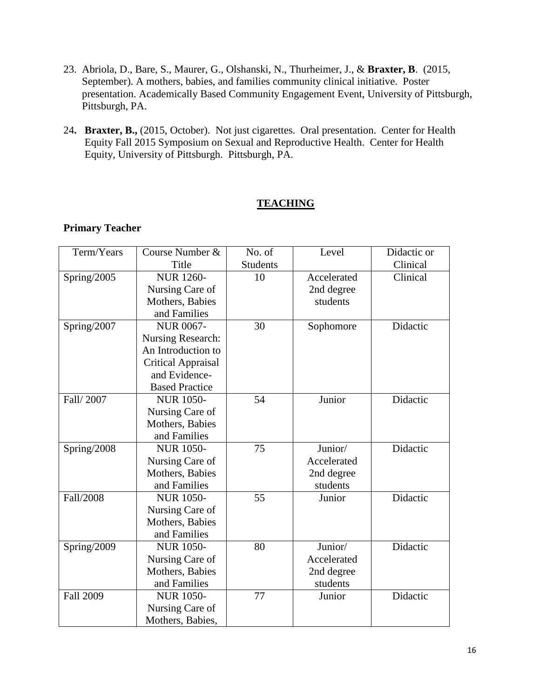- 23. Abriola, D., Bare, S., Maurer, G., Olshanski, N., Thurheimer, J., & **Braxter, B**. (2015, September). A mothers, babies, and families community clinical initiative. Poster presentation. Academically Based Community Engagement Event, University of Pittsburgh, Pittsburgh, PA.
- 24**. Braxter, B.,** (2015, October). Not just cigarettes. Oral presentation. Center for Health Equity Fall 2015 Symposium on Sexual and Reproductive Health. Center for Health Equity, University of Pittsburgh. Pittsburgh, PA.

# **TEACHING**

# **Primary Teacher**

| Term/Years       | Course Number &           | No. of          | Level       | Didactic or |
|------------------|---------------------------|-----------------|-------------|-------------|
|                  | Title                     | <b>Students</b> |             | Clinical    |
| Spring/2005      | <b>NUR 1260-</b>          | 10              | Accelerated | Clinical    |
|                  | Nursing Care of           |                 | 2nd degree  |             |
|                  | Mothers, Babies           |                 | students    |             |
|                  | and Families              |                 |             |             |
| Spring/2007      | <b>NUR 0067-</b>          | 30              | Sophomore   | Didactic    |
|                  | <b>Nursing Research:</b>  |                 |             |             |
|                  | An Introduction to        |                 |             |             |
|                  | <b>Critical Appraisal</b> |                 |             |             |
|                  | and Evidence-             |                 |             |             |
|                  | <b>Based Practice</b>     |                 |             |             |
| Fall/2007        | <b>NUR 1050-</b>          | 54              | Junior      | Didactic    |
|                  | Nursing Care of           |                 |             |             |
|                  | Mothers, Babies           |                 |             |             |
|                  | and Families              |                 |             |             |
| Spring/2008      | <b>NUR 1050-</b>          | 75              | Junior/     | Didactic    |
|                  | Nursing Care of           |                 | Accelerated |             |
|                  | Mothers, Babies           |                 | 2nd degree  |             |
|                  | and Families              |                 | students    |             |
| Fall/2008        | <b>NUR 1050-</b>          | 55              | Junior      | Didactic    |
|                  | Nursing Care of           |                 |             |             |
|                  | Mothers, Babies           |                 |             |             |
|                  | and Families              |                 |             |             |
| Spring/2009      | <b>NUR 1050-</b>          | 80              | Junior/     | Didactic    |
|                  | Nursing Care of           |                 | Accelerated |             |
|                  | Mothers, Babies           |                 | 2nd degree  |             |
|                  | and Families              |                 | students    |             |
| <b>Fall 2009</b> | <b>NUR 1050-</b>          | 77              | Junior      | Didactic    |
|                  | Nursing Care of           |                 |             |             |
|                  | Mothers, Babies,          |                 |             |             |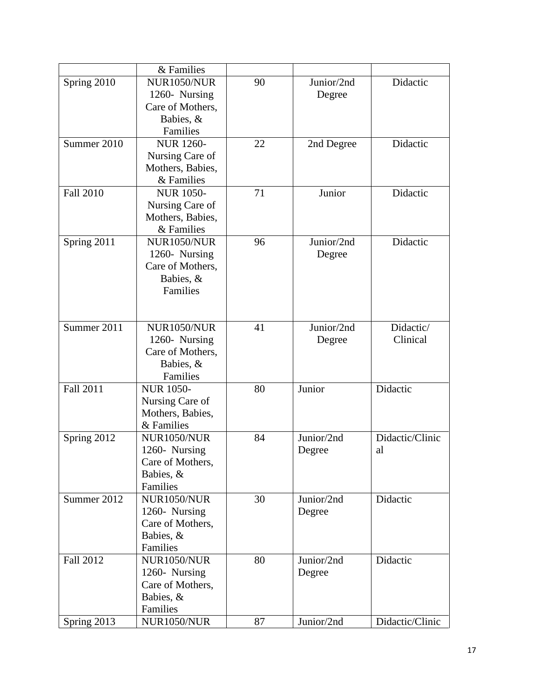|                  | & Families         |    |            |                 |
|------------------|--------------------|----|------------|-----------------|
| Spring 2010      | <b>NUR1050/NUR</b> | 90 | Junior/2nd | Didactic        |
|                  | 1260- Nursing      |    | Degree     |                 |
|                  | Care of Mothers,   |    |            |                 |
|                  | Babies, &          |    |            |                 |
|                  | Families           |    |            |                 |
| Summer 2010      | <b>NUR 1260-</b>   | 22 | 2nd Degree | Didactic        |
|                  | Nursing Care of    |    |            |                 |
|                  | Mothers, Babies,   |    |            |                 |
|                  | & Families         |    |            |                 |
| <b>Fall 2010</b> | <b>NUR 1050-</b>   | 71 | Junior     | Didactic        |
|                  | Nursing Care of    |    |            |                 |
|                  | Mothers, Babies,   |    |            |                 |
|                  | & Families         |    |            |                 |
| Spring 2011      | NUR1050/NUR        | 96 | Junior/2nd | Didactic        |
|                  | 1260- Nursing      |    | Degree     |                 |
|                  | Care of Mothers,   |    |            |                 |
|                  | Babies, &          |    |            |                 |
|                  | Families           |    |            |                 |
|                  |                    |    |            |                 |
|                  |                    |    |            |                 |
| Summer 2011      | NUR1050/NUR        | 41 | Junior/2nd | Didactic/       |
|                  | 1260- Nursing      |    | Degree     | Clinical        |
|                  | Care of Mothers,   |    |            |                 |
|                  | Babies, &          |    |            |                 |
|                  | Families           |    |            |                 |
| <b>Fall 2011</b> | <b>NUR 1050-</b>   | 80 | Junior     | Didactic        |
|                  | Nursing Care of    |    |            |                 |
|                  | Mothers, Babies,   |    |            |                 |
|                  | & Families         |    |            |                 |
| Spring 2012      | NUR1050/NUR        | 84 | Junior/2nd | Didactic/Clinic |
|                  | 1260- Nursing      |    | Degree     | al              |
|                  | Care of Mothers,   |    |            |                 |
|                  | Babies, &          |    |            |                 |
|                  | Families           |    |            |                 |
| Summer 2012      | NUR1050/NUR        | 30 | Junior/2nd | Didactic        |
|                  | 1260- Nursing      |    | Degree     |                 |
|                  | Care of Mothers,   |    |            |                 |
|                  | Babies, &          |    |            |                 |
|                  | Families           |    |            |                 |
| Fall 2012        | NUR1050/NUR        | 80 | Junior/2nd | Didactic        |
|                  | 1260- Nursing      |    | Degree     |                 |
|                  | Care of Mothers,   |    |            |                 |
|                  | Babies, &          |    |            |                 |
|                  | Families           |    |            |                 |
| Spring 2013      | <b>NUR1050/NUR</b> | 87 | Junior/2nd | Didactic/Clinic |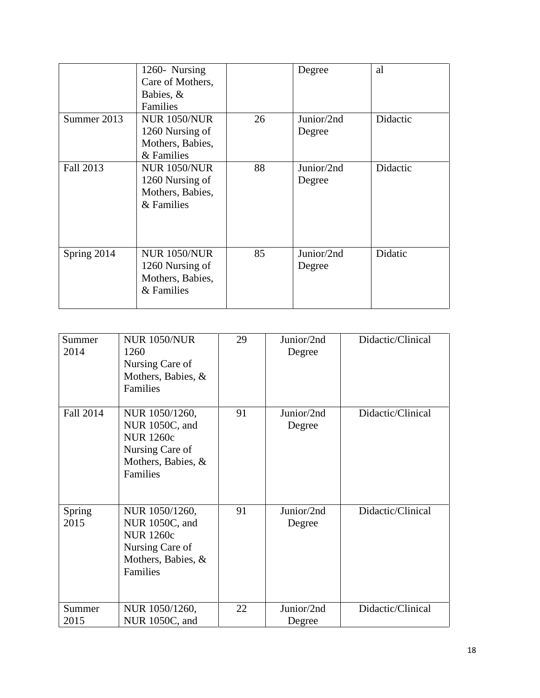|             | 1260- Nursing<br>Care of Mothers,<br>Babies, &<br><b>Families</b>        |    | Degree               | al       |
|-------------|--------------------------------------------------------------------------|----|----------------------|----------|
| Summer 2013 | <b>NUR 1050/NUR</b><br>1260 Nursing of<br>Mothers, Babies,<br>& Families | 26 | Junior/2nd<br>Degree | Didactic |
| Fall 2013   | <b>NUR 1050/NUR</b><br>1260 Nursing of<br>Mothers, Babies,<br>& Families | 88 | Junior/2nd<br>Degree | Didactic |
| Spring 2014 | <b>NUR 1050/NUR</b><br>1260 Nursing of<br>Mothers, Babies,<br>& Families | 85 | Junior/2nd<br>Degree | Didatic  |

| Summer<br>2014        | <b>NUR 1050/NUR</b><br>1260<br>Nursing Care of<br>Mothers, Babies, &<br>Families                          | 29 | Junior/2nd<br>Degree | Didactic/Clinical |
|-----------------------|-----------------------------------------------------------------------------------------------------------|----|----------------------|-------------------|
| Fall 2014             | NUR 1050/1260,<br>NUR 1050C, and<br><b>NUR 1260c</b><br>Nursing Care of<br>Mothers, Babies, &<br>Families | 91 | Junior/2nd<br>Degree | Didactic/Clinical |
| <b>Spring</b><br>2015 | NUR 1050/1260,<br>NUR 1050C, and<br><b>NUR 1260c</b><br>Nursing Care of<br>Mothers, Babies, &<br>Families | 91 | Junior/2nd<br>Degree | Didactic/Clinical |
| Summer<br>2015        | NUR 1050/1260,<br>NUR 1050C, and                                                                          | 22 | Junior/2nd<br>Degree | Didactic/Clinical |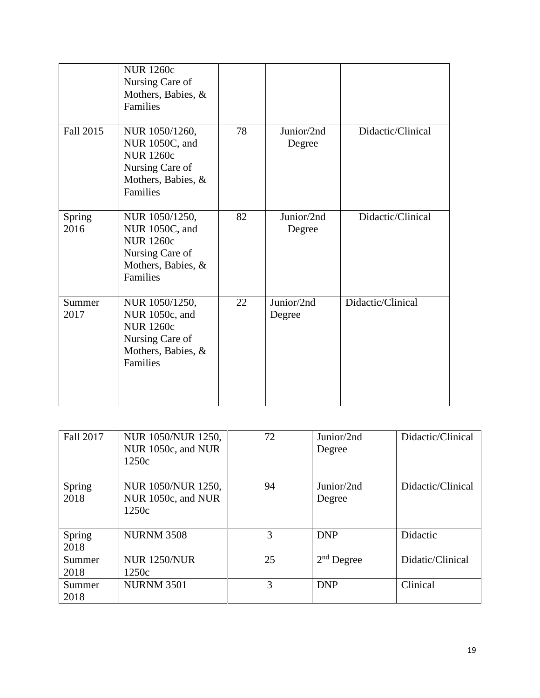|                | <b>NUR 1260c</b><br>Nursing Care of<br>Mothers, Babies, &<br>Families                                     |    |                      |                   |
|----------------|-----------------------------------------------------------------------------------------------------------|----|----------------------|-------------------|
| Fall 2015      | NUR 1050/1260,<br>NUR 1050C, and<br><b>NUR 1260c</b><br>Nursing Care of<br>Mothers, Babies, &<br>Families | 78 | Junior/2nd<br>Degree | Didactic/Clinical |
| Spring<br>2016 | NUR 1050/1250,<br>NUR 1050C, and<br><b>NUR 1260c</b><br>Nursing Care of<br>Mothers, Babies, &<br>Families | 82 | Junior/2nd<br>Degree | Didactic/Clinical |
| Summer<br>2017 | NUR 1050/1250,<br>NUR 1050c, and<br><b>NUR 1260c</b><br>Nursing Care of<br>Mothers, Babies, &<br>Families | 22 | Junior/2nd<br>Degree | Didactic/Clinical |

| <b>Fall 2017</b> | NUR 1050/NUR 1250,<br>NUR 1050c, and NUR<br>1250c | 72 | Junior/2nd<br>Degree | Didactic/Clinical |
|------------------|---------------------------------------------------|----|----------------------|-------------------|
| Spring<br>2018   | NUR 1050/NUR 1250,<br>NUR 1050c, and NUR<br>1250c | 94 | Junior/2nd<br>Degree | Didactic/Clinical |
| Spring<br>2018   | <b>NURNM 3508</b>                                 | 3  | <b>DNP</b>           | Didactic          |
| Summer<br>2018   | <b>NUR 1250/NUR</b><br>1250c                      | 25 | $2nd$ Degree         | Didatic/Clinical  |
| Summer<br>2018   | <b>NURNM 3501</b>                                 | 3  | <b>DNP</b>           | Clinical          |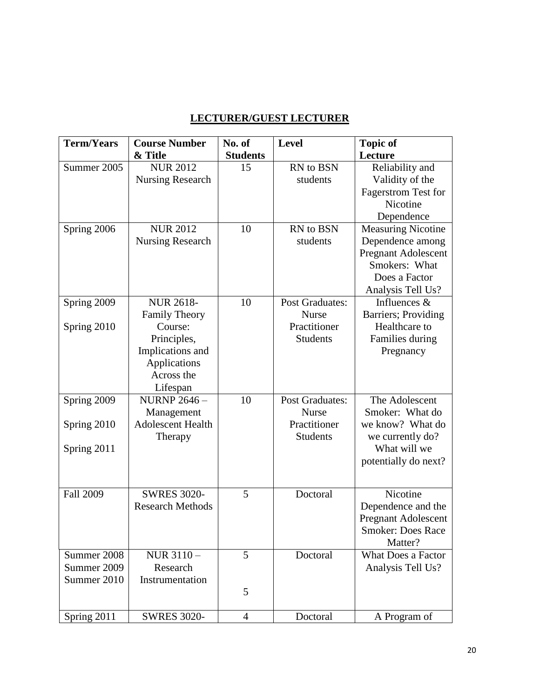# **LECTURER/GUEST LECTURER**

| <b>Term/Years</b> | <b>Course Number</b>    | No. of          | <b>Level</b>           | <b>Topic of</b>             |
|-------------------|-------------------------|-----------------|------------------------|-----------------------------|
|                   | & Title                 | <b>Students</b> |                        | Lecture                     |
| Summer 2005       | <b>NUR 2012</b>         | 15              | RN to BSN              | Reliability and             |
|                   | <b>Nursing Research</b> |                 | students               | Validity of the             |
|                   |                         |                 |                        | <b>Fagerstrom Test for</b>  |
|                   |                         |                 |                        | Nicotine                    |
|                   |                         |                 |                        | Dependence                  |
| Spring 2006       | <b>NUR 2012</b>         | 10              | RN to BSN              | <b>Measuring Nicotine</b>   |
|                   | Nursing Research        |                 | students               | Dependence among            |
|                   |                         |                 |                        | <b>Pregnant Adolescent</b>  |
|                   |                         |                 |                        | Smokers: What               |
|                   |                         |                 |                        | Does a Factor               |
|                   |                         |                 |                        | Analysis Tell Us?           |
| Spring 2009       | <b>NUR 2618-</b>        | 10              | <b>Post Graduates:</b> | Influences &                |
|                   | <b>Family Theory</b>    |                 | <b>Nurse</b>           | <b>Barriers</b> ; Providing |
| Spring 2010       | Course:                 |                 | Practitioner           | Healthcare to               |
|                   | Principles,             |                 | <b>Students</b>        | Families during             |
|                   | Implications and        |                 |                        | Pregnancy                   |
|                   | Applications            |                 |                        |                             |
|                   | Across the              |                 |                        |                             |
|                   | Lifespan                |                 |                        |                             |
| Spring 2009       | <b>NURNP 2646 -</b>     | 10              | <b>Post Graduates:</b> | The Adolescent              |
|                   | Management              |                 | <b>Nurse</b>           | Smoker: What do             |
| Spring 2010       | Adolescent Health       |                 | Practitioner           | we know? What do            |
|                   | Therapy                 |                 | <b>Students</b>        | we currently do?            |
| Spring 2011       |                         |                 |                        | What will we                |
|                   |                         |                 |                        | potentially do next?        |
|                   |                         |                 |                        |                             |
|                   | <b>SWRES 3020-</b>      | 5               |                        |                             |
| <b>Fall 2009</b>  |                         |                 | Doctoral               | Nicotine                    |
|                   | <b>Research Methods</b> |                 |                        | Dependence and the          |
|                   |                         |                 |                        | <b>Pregnant Adolescent</b>  |
|                   |                         |                 |                        | <b>Smoker: Does Race</b>    |
|                   |                         |                 |                        | Matter?                     |
| Summer 2008       | NUR 3110-               | 5               | Doctoral               | <b>What Does a Factor</b>   |
| Summer 2009       | Research                |                 |                        | Analysis Tell Us?           |
| Summer 2010       | Instrumentation         |                 |                        |                             |
|                   |                         | 5               |                        |                             |
| Spring 2011       | <b>SWRES 3020-</b>      | $\overline{4}$  | Doctoral               | A Program of                |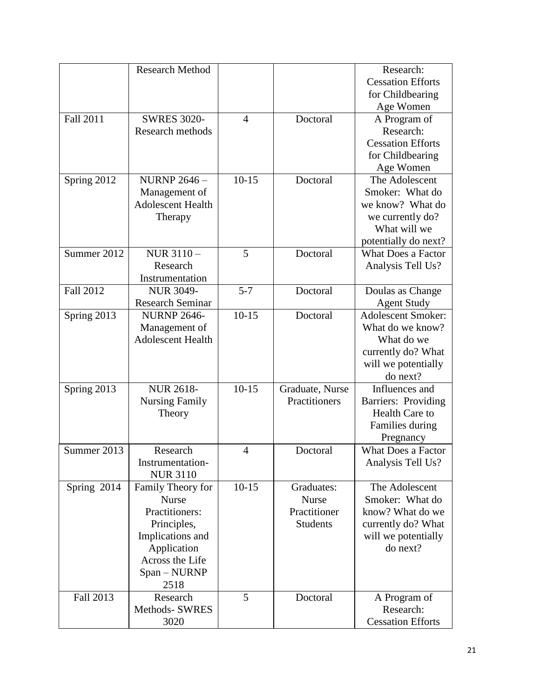|                  | <b>Research Method</b>                    |                |                 | Research:                                       |
|------------------|-------------------------------------------|----------------|-----------------|-------------------------------------------------|
|                  |                                           |                |                 | <b>Cessation Efforts</b>                        |
|                  |                                           |                |                 | for Childbearing                                |
|                  |                                           |                |                 | Age Women                                       |
| Fall 2011        | <b>SWRES 3020-</b>                        | $\overline{4}$ | Doctoral        | A Program of                                    |
|                  | Research methods                          |                |                 | Research:                                       |
|                  |                                           |                |                 | <b>Cessation Efforts</b>                        |
|                  |                                           |                |                 | for Childbearing                                |
|                  |                                           |                |                 | Age Women                                       |
| Spring 2012      | <b>NURNP 2646 -</b>                       | $10 - 15$      | Doctoral        | The Adolescent                                  |
|                  | Management of                             |                |                 | Smoker: What do                                 |
|                  | <b>Adolescent Health</b>                  |                |                 | we know? What do                                |
|                  | Therapy                                   |                |                 | we currently do?                                |
|                  |                                           |                |                 | What will we                                    |
|                  |                                           |                |                 | potentially do next?                            |
| Summer 2012      | NUR 3110-                                 | 5              | Doctoral        | <b>What Does a Factor</b>                       |
|                  | Research                                  |                |                 | Analysis Tell Us?                               |
|                  | Instrumentation                           |                |                 |                                                 |
| <b>Fall 2012</b> | <b>NUR 3049-</b>                          | $5 - 7$        | Doctoral        | Doulas as Change                                |
|                  | <b>Research Seminar</b>                   |                |                 |                                                 |
|                  | <b>NURNP 2646-</b>                        | $10-15$        | Doctoral        | <b>Agent Study</b><br><b>Adolescent Smoker:</b> |
| Spring 2013      |                                           |                |                 | What do we know?                                |
|                  | Management of<br><b>Adolescent Health</b> |                |                 |                                                 |
|                  |                                           |                |                 | What do we                                      |
|                  |                                           |                |                 | currently do? What                              |
|                  |                                           |                |                 | will we potentially                             |
|                  |                                           |                |                 | do next?                                        |
| Spring 2013      | <b>NUR 2618-</b>                          | $10-15$        | Graduate, Nurse | Influences and                                  |
|                  | <b>Nursing Family</b>                     |                | Practitioners   | Barriers: Providing                             |
|                  | Theory                                    |                |                 | Health Care to                                  |
|                  |                                           |                |                 | Families during                                 |
|                  |                                           |                |                 | Pregnancy                                       |
| Summer 2013      | Research                                  | $\overline{4}$ | Doctoral        | <b>What Does a Factor</b>                       |
|                  | Instrumentation-                          |                |                 | Analysis Tell Us?                               |
|                  | <b>NUR 3110</b>                           |                |                 |                                                 |
| Spring 2014      | Family Theory for                         | $10-15$        | Graduates:      | The Adolescent                                  |
|                  | <b>Nurse</b>                              |                | <b>Nurse</b>    | Smoker: What do                                 |
|                  | Practitioners:                            |                | Practitioner    | know? What do we                                |
|                  | Principles,                               |                | <b>Students</b> | currently do? What                              |
|                  | Implications and                          |                |                 | will we potentially                             |
|                  | Application                               |                |                 | do next?                                        |
|                  | Across the Life                           |                |                 |                                                 |
|                  | Span - NURNP                              |                |                 |                                                 |
|                  | 2518                                      |                |                 |                                                 |
| Fall 2013        | Research                                  | 5              | Doctoral        | A Program of                                    |
|                  | <b>Methods- SWRES</b>                     |                |                 | Research:                                       |
|                  | 3020                                      |                |                 | <b>Cessation Efforts</b>                        |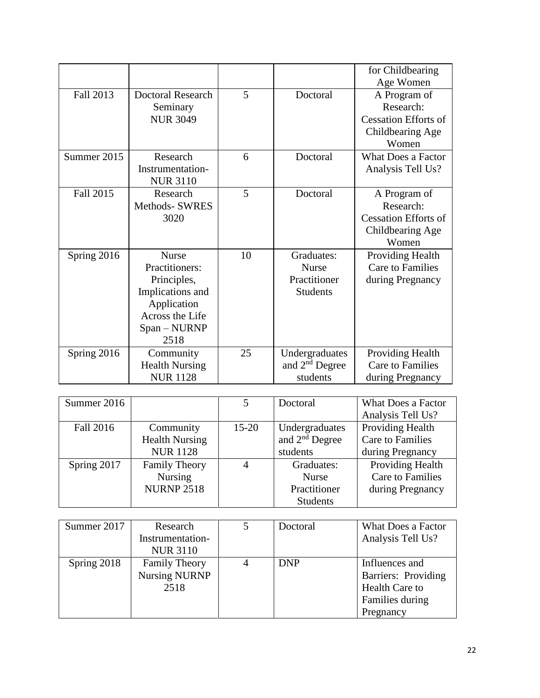|             |                          |    |                  | for Childbearing            |
|-------------|--------------------------|----|------------------|-----------------------------|
|             |                          |    |                  | Age Women                   |
| Fall 2013   | <b>Doctoral Research</b> | 5  | Doctoral         | A Program of                |
|             | Seminary                 |    |                  | Research:                   |
|             | <b>NUR 3049</b>          |    |                  | <b>Cessation Efforts of</b> |
|             |                          |    |                  | Childbearing Age            |
|             |                          |    |                  | Women                       |
| Summer 2015 | Research                 | 6  | Doctoral         | <b>What Does a Factor</b>   |
|             | Instrumentation-         |    |                  | Analysis Tell Us?           |
|             | <b>NUR 3110</b>          |    |                  |                             |
| Fall 2015   | Research                 | 5  | Doctoral         | A Program of                |
|             | <b>Methods- SWRES</b>    |    |                  | Research:                   |
|             | 3020                     |    |                  | <b>Cessation Efforts of</b> |
|             |                          |    |                  | Childbearing Age            |
|             |                          |    |                  | Women                       |
| Spring 2016 | <b>Nurse</b>             | 10 | Graduates:       | <b>Providing Health</b>     |
|             | Practitioners:           |    | <b>Nurse</b>     | <b>Care to Families</b>     |
|             | Principles,              |    | Practitioner     | during Pregnancy            |
|             | Implications and         |    | <b>Students</b>  |                             |
|             | Application              |    |                  |                             |
|             | Across the Life          |    |                  |                             |
|             | Span - NURNP             |    |                  |                             |
|             | 2518                     |    |                  |                             |
| Spring 2016 | Community                | 25 | Undergraduates   | Providing Health            |
|             | <b>Health Nursing</b>    |    | and $2nd$ Degree | <b>Care to Families</b>     |
|             | <b>NUR1128</b>           |    | students         | during Pregnancy            |

| Summer 2016 |                       | 5         | Doctoral         | What Does a Factor      |
|-------------|-----------------------|-----------|------------------|-------------------------|
|             |                       |           |                  | Analysis Tell Us?       |
| Fall 2016   | Community             | $15 - 20$ | Undergraduates   | Providing Health        |
|             | <b>Health Nursing</b> |           | and $2nd$ Degree | <b>Care to Families</b> |
|             | <b>NUR 1128</b>       |           | students         | during Pregnancy        |
| Spring 2017 | <b>Family Theory</b>  |           | Graduates:       | Providing Health        |
|             | <b>Nursing</b>        |           | <b>Nurse</b>     | <b>Care to Families</b> |
|             | <b>NURNP 2518</b>     |           | Practitioner     | during Pregnancy        |
|             |                       |           | <b>Students</b>  |                         |

| Summer 2017 | Research             | Doctoral   | What Does a Factor  |
|-------------|----------------------|------------|---------------------|
|             | Instrumentation-     |            | Analysis Tell Us?   |
|             | <b>NUR 3110</b>      |            |                     |
| Spring 2018 | <b>Family Theory</b> | <b>DNP</b> | Influences and      |
|             | <b>Nursing NURNP</b> |            | Barriers: Providing |
|             | 2518                 |            | Health Care to      |
|             |                      |            | Families during     |
|             |                      |            | Pregnancy           |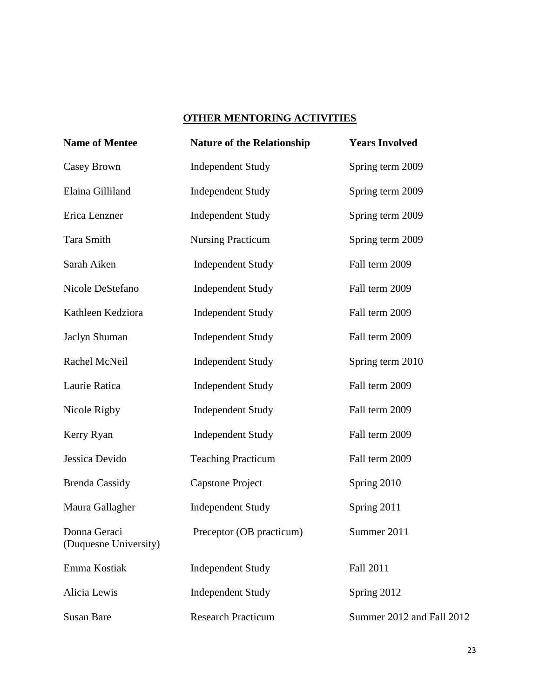# **OTHER MENTORING ACTIVITIES**

| <b>Name of Mentee</b>                 | <b>Nature of the Relationship</b> | <b>Years Involved</b>     |
|---------------------------------------|-----------------------------------|---------------------------|
| Casey Brown                           | <b>Independent Study</b>          | Spring term 2009          |
| Elaina Gilliland                      | <b>Independent Study</b>          | Spring term 2009          |
| Erica Lenzner                         | <b>Independent Study</b>          | Spring term 2009          |
| Tara Smith                            | <b>Nursing Practicum</b>          | Spring term 2009          |
| Sarah Aiken                           | <b>Independent Study</b>          | Fall term 2009            |
| Nicole DeStefano                      | <b>Independent Study</b>          | Fall term 2009            |
| Kathleen Kedziora                     | <b>Independent Study</b>          | Fall term 2009            |
| Jaclyn Shuman                         | <b>Independent Study</b>          | Fall term 2009            |
| Rachel McNeil                         | <b>Independent Study</b>          | Spring term 2010          |
| Laurie Ratica                         | <b>Independent Study</b>          | Fall term 2009            |
| Nicole Rigby                          | <b>Independent Study</b>          | Fall term 2009            |
| Kerry Ryan                            | <b>Independent Study</b>          | Fall term 2009            |
| Jessica Devido                        | <b>Teaching Practicum</b>         | Fall term 2009            |
| <b>Brenda Cassidy</b>                 | <b>Capstone Project</b>           | Spring 2010               |
| Maura Gallagher                       | <b>Independent Study</b>          | Spring 2011               |
| Donna Geraci<br>(Duquesne University) | Preceptor (OB practicum)          | Summer 2011               |
| Emma Kostiak                          | <b>Independent Study</b>          | Fall 2011                 |
| Alicia Lewis                          | <b>Independent Study</b>          | Spring 2012               |
| <b>Susan Bare</b>                     | <b>Research Practicum</b>         | Summer 2012 and Fall 2012 |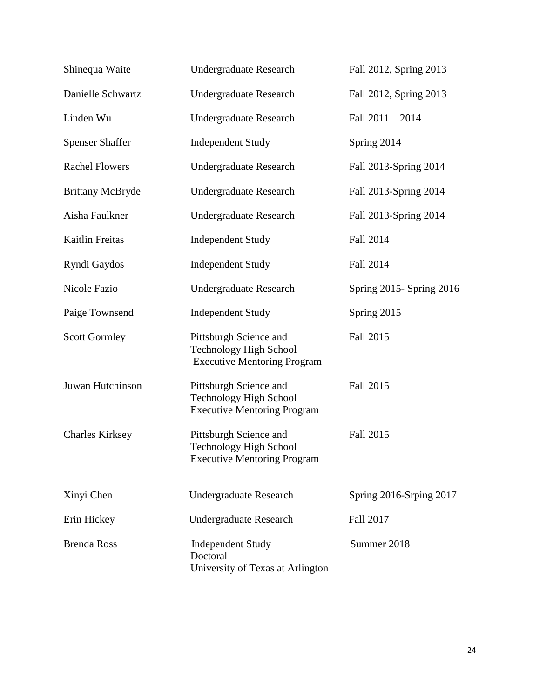| Shinequa Waite          | <b>Undergraduate Research</b>                                                                 | Fall 2012, Spring 2013    |
|-------------------------|-----------------------------------------------------------------------------------------------|---------------------------|
| Danielle Schwartz       | <b>Undergraduate Research</b>                                                                 | Fall 2012, Spring 2013    |
| Linden Wu               | <b>Undergraduate Research</b>                                                                 | Fall 2011 - 2014          |
| <b>Spenser Shaffer</b>  | <b>Independent Study</b>                                                                      | Spring 2014               |
| <b>Rachel Flowers</b>   | <b>Undergraduate Research</b>                                                                 | Fall 2013-Spring 2014     |
| <b>Brittany McBryde</b> | <b>Undergraduate Research</b>                                                                 | Fall 2013-Spring 2014     |
| Aisha Faulkner          | <b>Undergraduate Research</b>                                                                 | Fall 2013-Spring 2014     |
| Kaitlin Freitas         | <b>Independent Study</b>                                                                      | Fall 2014                 |
| Ryndi Gaydos            | <b>Independent Study</b>                                                                      | Fall 2014                 |
| <b>Nicole Fazio</b>     | <b>Undergraduate Research</b>                                                                 | Spring 2015 - Spring 2016 |
| Paige Townsend          | <b>Independent Study</b>                                                                      | Spring 2015               |
| <b>Scott Gormley</b>    | Pittsburgh Science and<br><b>Technology High School</b><br><b>Executive Mentoring Program</b> | Fall 2015                 |
| Juwan Hutchinson        | Pittsburgh Science and<br><b>Technology High School</b><br><b>Executive Mentoring Program</b> | Fall 2015                 |
| <b>Charles Kirksey</b>  | Pittsburgh Science and<br>Technology High School<br><b>Executive Mentoring Program</b>        | Fall 2015                 |
| Xinyi Chen              | <b>Undergraduate Research</b>                                                                 | Spring 2016-Srping 2017   |
| Erin Hickey             | <b>Undergraduate Research</b>                                                                 | Fall 2017 -               |
| <b>Brenda Ross</b>      | <b>Independent Study</b><br>Doctoral<br>University of Texas at Arlington                      | Summer 2018               |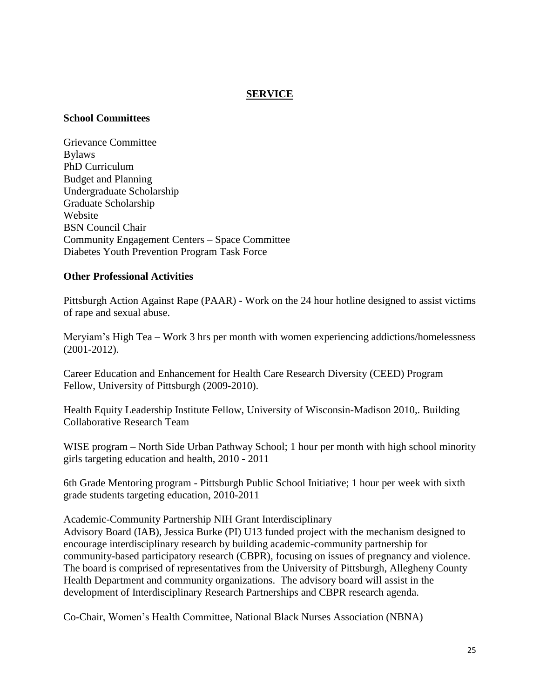# **SERVICE**

#### **School Committees**

Grievance Committee Bylaws PhD Curriculum Budget and Planning Undergraduate Scholarship Graduate Scholarship Website BSN Council Chair Community Engagement Centers – Space Committee Diabetes Youth Prevention Program Task Force

#### **Other Professional Activities**

Pittsburgh Action Against Rape (PAAR) - Work on the 24 hour hotline designed to assist victims of rape and sexual abuse.

Meryiam's High Tea – Work 3 hrs per month with women experiencing addictions/homelessness (2001-2012).

Career Education and Enhancement for Health Care Research Diversity (CEED) Program Fellow, University of Pittsburgh (2009-2010).

Health Equity Leadership Institute Fellow, University of Wisconsin-Madison 2010,. Building Collaborative Research Team

WISE program – North Side Urban Pathway School; 1 hour per month with high school minority girls targeting education and health, 2010 - 2011

6th Grade Mentoring program - Pittsburgh Public School Initiative; 1 hour per week with sixth grade students targeting education, 2010-2011

Academic-Community Partnership NIH Grant Interdisciplinary Advisory Board (IAB), Jessica Burke (PI) U13 funded project with the mechanism designed to encourage interdisciplinary research by building academic-community partnership for community-based participatory research (CBPR), focusing on issues of pregnancy and violence. The board is comprised of representatives from the University of Pittsburgh, Allegheny County Health Department and community organizations. The advisory board will assist in the development of Interdisciplinary Research Partnerships and CBPR research agenda.

Co-Chair, Women's Health Committee, National Black Nurses Association (NBNA)